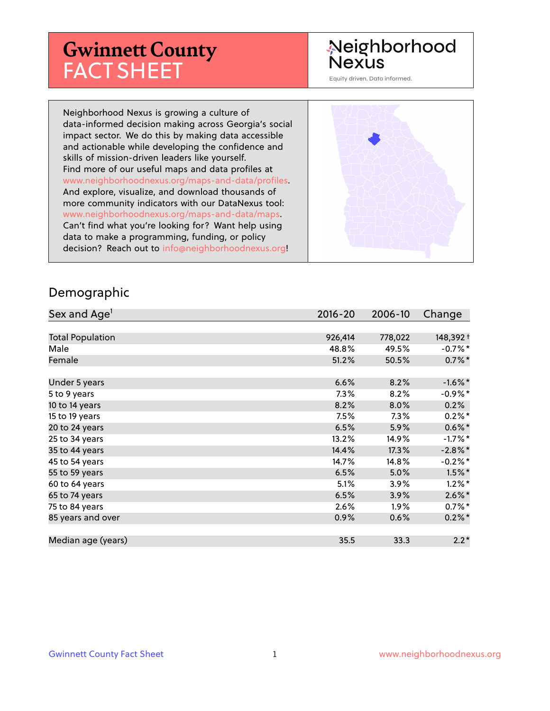# **Gwinnett County** FACT SHEET

# Neighborhood **Nexus**

Equity driven. Data informed.

Neighborhood Nexus is growing a culture of data-informed decision making across Georgia's social impact sector. We do this by making data accessible and actionable while developing the confidence and skills of mission-driven leaders like yourself. Find more of our useful maps and data profiles at www.neighborhoodnexus.org/maps-and-data/profiles. And explore, visualize, and download thousands of more community indicators with our DataNexus tool: www.neighborhoodnexus.org/maps-and-data/maps. Can't find what you're looking for? Want help using data to make a programming, funding, or policy decision? Reach out to [info@neighborhoodnexus.org!](mailto:info@neighborhoodnexus.org)



#### Demographic

| Sex and Age <sup>1</sup> | $2016 - 20$ | 2006-10 | Change               |
|--------------------------|-------------|---------|----------------------|
|                          |             |         |                      |
| <b>Total Population</b>  | 926,414     | 778,022 | 148,392 +            |
| Male                     | 48.8%       | 49.5%   | $-0.7%$ *            |
| Female                   | 51.2%       | 50.5%   | $0.7\%$ *            |
|                          |             |         |                      |
| Under 5 years            | 6.6%        | 8.2%    | $-1.6\%$ *           |
| 5 to 9 years             | $7.3\%$     | 8.2%    | $-0.9%$ *            |
| 10 to 14 years           | 8.2%        | 8.0%    | 0.2%                 |
| 15 to 19 years           | 7.5%        | 7.3%    | $0.2\%$ *            |
| 20 to 24 years           | 6.5%        | 5.9%    | $0.6\%$ *            |
| 25 to 34 years           | 13.2%       | 14.9%   | $-1.7%$ *            |
| 35 to 44 years           | 14.4%       | 17.3%   | $-2.8\%$ *           |
| 45 to 54 years           | 14.7%       | 14.8%   | $-0.2%$ *            |
| 55 to 59 years           | 6.5%        | 5.0%    | $1.5\%$ *            |
| 60 to 64 years           | 5.1%        | 3.9%    | $1.2\%$ *            |
| 65 to 74 years           | 6.5%        | 3.9%    | $2.6\%$ <sup>*</sup> |
| 75 to 84 years           | 2.6%        | $1.9\%$ | $0.7%$ *             |
| 85 years and over        | 0.9%        | 0.6%    | $0.2\%$ *            |
|                          |             |         |                      |
| Median age (years)       | 35.5        | 33.3    | $2.2*$               |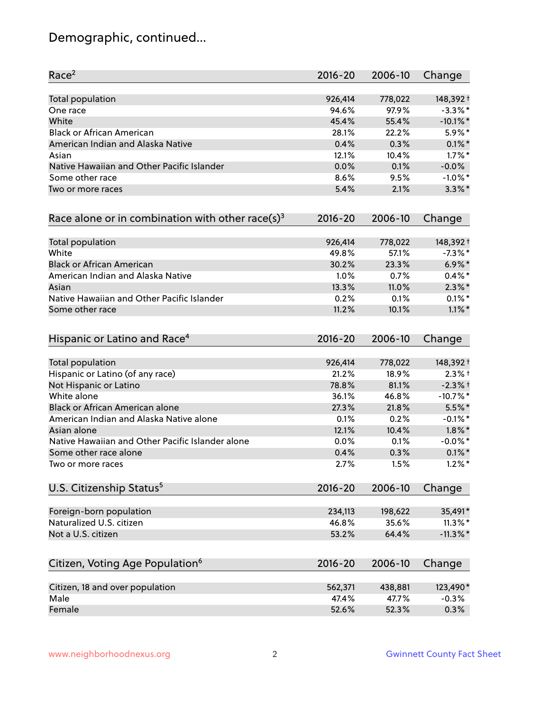# Demographic, continued...

| Race <sup>2</sup>                                            | $2016 - 20$ | 2006-10 | Change      |
|--------------------------------------------------------------|-------------|---------|-------------|
| <b>Total population</b>                                      | 926,414     | 778,022 | 148,392 +   |
| One race                                                     | 94.6%       | 97.9%   | $-3.3\%$ *  |
| White                                                        | 45.4%       | 55.4%   | $-10.1\%$ * |
| <b>Black or African American</b>                             | 28.1%       | 22.2%   | 5.9%*       |
| American Indian and Alaska Native                            | 0.4%        | 0.3%    | $0.1\%$ *   |
| Asian                                                        | 12.1%       | 10.4%   | $1.7\%$ *   |
| Native Hawaiian and Other Pacific Islander                   | 0.0%        | 0.1%    | $-0.0%$     |
| Some other race                                              | 8.6%        | 9.5%    | $-1.0\%$ *  |
| Two or more races                                            | 5.4%        | 2.1%    | $3.3\%$ *   |
| Race alone or in combination with other race(s) <sup>3</sup> | $2016 - 20$ | 2006-10 | Change      |
| Total population                                             | 926,414     | 778,022 | 148,392 +   |
| White                                                        | 49.8%       | 57.1%   | $-7.3\%$ *  |
| <b>Black or African American</b>                             | 30.2%       | 23.3%   | $6.9\%$ *   |
| American Indian and Alaska Native                            | 1.0%        | 0.7%    | $0.4\%$ *   |
| Asian                                                        | 13.3%       | 11.0%   | $2.3\%$ *   |
| Native Hawaiian and Other Pacific Islander                   | 0.2%        | 0.1%    | $0.1\%$ *   |
| Some other race                                              | 11.2%       | 10.1%   | $1.1\%$ *   |
| Hispanic or Latino and Race <sup>4</sup>                     | $2016 - 20$ | 2006-10 | Change      |
| <b>Total population</b>                                      | 926,414     | 778,022 | 148,392 +   |
| Hispanic or Latino (of any race)                             | 21.2%       | 18.9%   | $2.3%$ +    |
| Not Hispanic or Latino                                       | 78.8%       | 81.1%   | $-2.3%$ +   |
| White alone                                                  | 36.1%       | 46.8%   | $-10.7%$ *  |
| Black or African American alone                              | 27.3%       | 21.8%   | 5.5%*       |
| American Indian and Alaska Native alone                      | 0.1%        | 0.2%    | $-0.1\%$ *  |
| Asian alone                                                  | 12.1%       | 10.4%   | $1.8\%$ *   |
| Native Hawaiian and Other Pacific Islander alone             | 0.0%        | 0.1%    | $-0.0\%$ *  |
| Some other race alone                                        | 0.4%        | 0.3%    | $0.1\%$ *   |
| Two or more races                                            | 2.7%        | 1.5%    | $1.2\%$ *   |
| U.S. Citizenship Status <sup>5</sup>                         | $2016 - 20$ | 2006-10 | Change      |
| Foreign-born population                                      | 234,113     | 198,622 | 35,491*     |
| Naturalized U.S. citizen                                     | 46.8%       | 35.6%   | $11.3\%$ *  |
| Not a U.S. citizen                                           | 53.2%       | 64.4%   | $-11.3\%$ * |
| Citizen, Voting Age Population <sup>6</sup>                  | $2016 - 20$ | 2006-10 | Change      |
|                                                              |             |         |             |
| Citizen, 18 and over population                              | 562,371     | 438,881 | 123,490*    |
| Male                                                         | 47.4%       | 47.7%   | $-0.3%$     |
| Female                                                       | 52.6%       | 52.3%   | 0.3%        |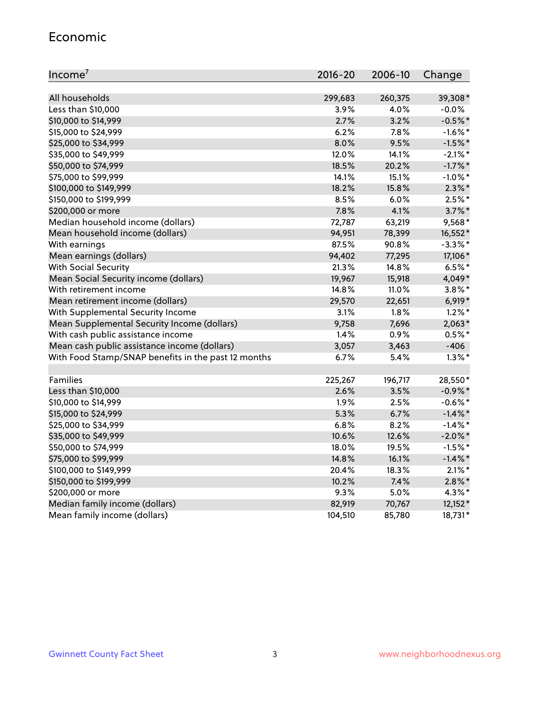#### Economic

| Income <sup>7</sup>                                 | $2016 - 20$ | 2006-10 | Change     |
|-----------------------------------------------------|-------------|---------|------------|
|                                                     |             |         |            |
| All households                                      | 299,683     | 260,375 | 39,308*    |
| Less than \$10,000                                  | 3.9%        | 4.0%    | $-0.0%$    |
| \$10,000 to \$14,999                                | 2.7%        | 3.2%    | $-0.5%$ *  |
| \$15,000 to \$24,999                                | 6.2%        | 7.8%    | $-1.6\%$ * |
| \$25,000 to \$34,999                                | 8.0%        | 9.5%    | $-1.5%$ *  |
| \$35,000 to \$49,999                                | 12.0%       | 14.1%   | $-2.1\%$ * |
| \$50,000 to \$74,999                                | 18.5%       | 20.2%   | $-1.7%$ *  |
| \$75,000 to \$99,999                                | 14.1%       | 15.1%   | $-1.0\%$ * |
| \$100,000 to \$149,999                              | 18.2%       | 15.8%   | $2.3\%$ *  |
| \$150,000 to \$199,999                              | 8.5%        | 6.0%    | $2.5%$ *   |
| \$200,000 or more                                   | 7.8%        | 4.1%    | $3.7\%$ *  |
| Median household income (dollars)                   | 72,787      | 63,219  | 9,568*     |
| Mean household income (dollars)                     | 94,951      | 78,399  | 16,552*    |
| With earnings                                       | 87.5%       | 90.8%   | $-3.3\%$ * |
| Mean earnings (dollars)                             | 94,402      | 77,295  | 17,106*    |
| <b>With Social Security</b>                         | 21.3%       | 14.8%   | $6.5%$ *   |
| Mean Social Security income (dollars)               | 19,967      | 15,918  | 4,049*     |
| With retirement income                              | 14.8%       | 11.0%   | $3.8\%$ *  |
| Mean retirement income (dollars)                    | 29,570      | 22,651  | $6,919*$   |
| With Supplemental Security Income                   | 3.1%        | 1.8%    | $1.2\%$ *  |
| Mean Supplemental Security Income (dollars)         | 9,758       | 7,696   | $2,063*$   |
| With cash public assistance income                  | 1.4%        | 0.9%    | $0.5%$ *   |
| Mean cash public assistance income (dollars)        | 3,057       | 3,463   | $-406$     |
| With Food Stamp/SNAP benefits in the past 12 months | 6.7%        | 5.4%    | $1.3\%$ *  |
|                                                     |             |         |            |
| Families                                            | 225,267     | 196,717 | 28,550*    |
| Less than \$10,000                                  | 2.6%        | 3.5%    | $-0.9\%$ * |
| \$10,000 to \$14,999                                | 1.9%        | 2.5%    | $-0.6\%$ * |
| \$15,000 to \$24,999                                | 5.3%        | 6.7%    | $-1.4\%$ * |
| \$25,000 to \$34,999                                | 6.8%        | 8.2%    | $-1.4\%$ * |
| \$35,000 to \$49,999                                | 10.6%       | 12.6%   | $-2.0\%$ * |
| \$50,000 to \$74,999                                | 18.0%       | 19.5%   | $-1.5%$ *  |
| \$75,000 to \$99,999                                | 14.8%       | 16.1%   | $-1.4\%$ * |
| \$100,000 to \$149,999                              | 20.4%       | 18.3%   | $2.1\%$ *  |
| \$150,000 to \$199,999                              | 10.2%       | 7.4%    | $2.8\%$ *  |
| \$200,000 or more                                   | 9.3%        | 5.0%    | 4.3%*      |
| Median family income (dollars)                      | 82,919      | 70,767  | $12,152*$  |
| Mean family income (dollars)                        | 104,510     | 85,780  | 18,731*    |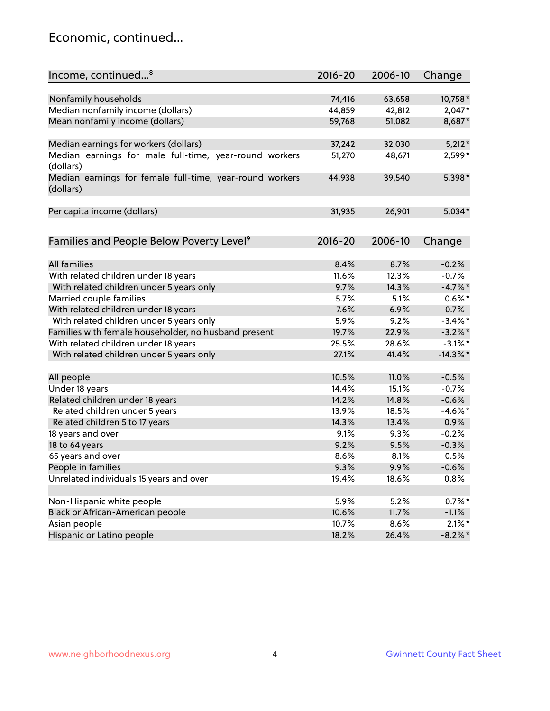### Economic, continued...

| Income, continued <sup>8</sup>                                        | $2016 - 20$ | 2006-10      | Change      |
|-----------------------------------------------------------------------|-------------|--------------|-------------|
|                                                                       |             |              |             |
| Nonfamily households                                                  | 74,416      | 63,658       | 10,758*     |
| Median nonfamily income (dollars)                                     | 44,859      | 42,812       | 2,047*      |
| Mean nonfamily income (dollars)                                       | 59,768      | 51,082       | 8,687*      |
| Median earnings for workers (dollars)                                 | 37,242      | 32,030       | $5,212*$    |
| Median earnings for male full-time, year-round workers<br>(dollars)   | 51,270      | 48,671       | 2,599*      |
| Median earnings for female full-time, year-round workers<br>(dollars) | 44,938      | 39,540       | 5,398*      |
| Per capita income (dollars)                                           | 31,935      | 26,901       | $5,034*$    |
|                                                                       |             |              |             |
| Families and People Below Poverty Level <sup>9</sup>                  | $2016 - 20$ | 2006-10      | Change      |
| <b>All families</b>                                                   | 8.4%        | 8.7%         | $-0.2%$     |
| With related children under 18 years                                  | 11.6%       | 12.3%        | $-0.7%$     |
|                                                                       | 9.7%        | 14.3%        | $-4.7%$ *   |
| With related children under 5 years only                              | 5.7%        |              |             |
| Married couple families                                               | 7.6%        | 5.1%<br>6.9% | $0.6\%$ *   |
| With related children under 18 years                                  |             |              | 0.7%        |
| With related children under 5 years only                              | 5.9%        | 9.2%         | $-3.4\%$ *  |
| Families with female householder, no husband present                  | 19.7%       | 22.9%        | $-3.2\%$ *  |
| With related children under 18 years                                  | 25.5%       | 28.6%        | $-3.1\%$ *  |
| With related children under 5 years only                              | 27.1%       | 41.4%        | $-14.3\%$ * |
| All people                                                            | 10.5%       | 11.0%        | $-0.5%$     |
| Under 18 years                                                        | 14.4%       | 15.1%        | $-0.7%$     |
| Related children under 18 years                                       | 14.2%       | 14.8%        | $-0.6%$     |
| Related children under 5 years                                        | 13.9%       | 18.5%        | $-4.6\%$ *  |
| Related children 5 to 17 years                                        | 14.3%       | 13.4%        | 0.9%        |
| 18 years and over                                                     | 9.1%        | 9.3%         | $-0.2%$     |
| 18 to 64 years                                                        | 9.2%        | 9.5%         | $-0.3%$     |
| 65 years and over                                                     | 8.6%        | 8.1%         | 0.5%        |
| People in families                                                    | 9.3%        | 9.9%         | $-0.6%$     |
| Unrelated individuals 15 years and over                               | 19.4%       | 18.6%        | 0.8%        |
|                                                                       |             |              |             |
| Non-Hispanic white people                                             | 5.9%        | 5.2%         | $0.7\%$ *   |
| Black or African-American people                                      | 10.6%       | 11.7%        | $-1.1%$     |
| Asian people                                                          | 10.7%       | 8.6%         | $2.1\%$ *   |
| Hispanic or Latino people                                             | 18.2%       | 26.4%        | $-8.2\%$ *  |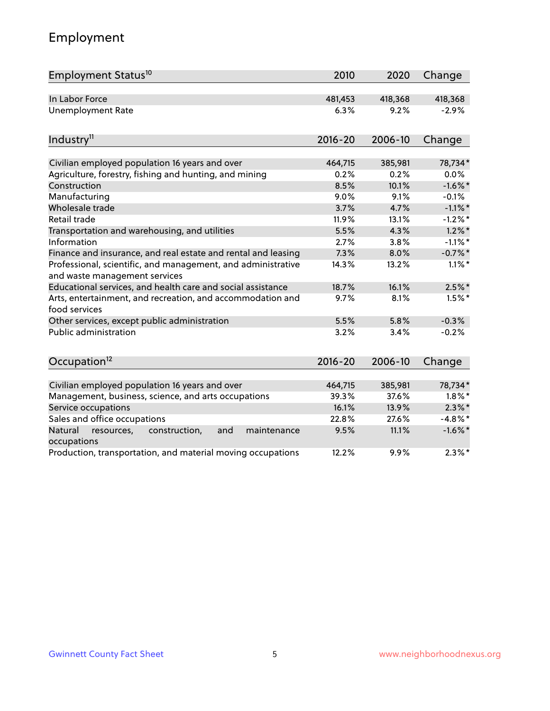# Employment

| Employment Status <sup>10</sup>                                                               | 2010        | 2020    | Change     |
|-----------------------------------------------------------------------------------------------|-------------|---------|------------|
| In Labor Force                                                                                | 481,453     | 418,368 | 418,368    |
| Unemployment Rate                                                                             | 6.3%        | 9.2%    | $-2.9%$    |
| Industry <sup>11</sup>                                                                        | $2016 - 20$ | 2006-10 | Change     |
| Civilian employed population 16 years and over                                                | 464,715     | 385,981 | 78,734*    |
| Agriculture, forestry, fishing and hunting, and mining                                        | 0.2%        | 0.2%    | 0.0%       |
| Construction                                                                                  | 8.5%        | 10.1%   | $-1.6%$ *  |
| Manufacturing                                                                                 | 9.0%        | 9.1%    | $-0.1%$    |
| Wholesale trade                                                                               | 3.7%        | 4.7%    | $-1.1\%$ * |
| Retail trade                                                                                  | 11.9%       | 13.1%   | $-1.2%$ *  |
| Transportation and warehousing, and utilities                                                 | 5.5%        | 4.3%    | $1.2\%$ *  |
| Information                                                                                   | 2.7%        | 3.8%    | $-1.1\%$ * |
| Finance and insurance, and real estate and rental and leasing                                 | 7.3%        | 8.0%    | $-0.7\%$ * |
| Professional, scientific, and management, and administrative<br>and waste management services | 14.3%       | 13.2%   | $1.1\%$ *  |
| Educational services, and health care and social assistance                                   | 18.7%       | 16.1%   | $2.5\%$ *  |
| Arts, entertainment, and recreation, and accommodation and<br>food services                   | 9.7%        | 8.1%    | $1.5\%$ *  |
| Other services, except public administration                                                  | 5.5%        | 5.8%    | $-0.3%$    |
| <b>Public administration</b>                                                                  | 3.2%        | 3.4%    | $-0.2%$    |
| Occupation <sup>12</sup>                                                                      | $2016 - 20$ | 2006-10 | Change     |
| Civilian employed population 16 years and over                                                | 464,715     | 385,981 | 78,734*    |
| Management, business, science, and arts occupations                                           | 39.3%       | 37.6%   | $1.8\%$ *  |
| Service occupations                                                                           | 16.1%       | 13.9%   | $2.3\%$ *  |
| Sales and office occupations                                                                  | 22.8%       | 27.6%   | $-4.8\%$ * |
| Natural<br>and<br>resources,<br>construction,<br>maintenance<br>occupations                   | 9.5%        | 11.1%   | $-1.6\%$ * |
| Production, transportation, and material moving occupations                                   | 12.2%       | 9.9%    | $2.3\%$ *  |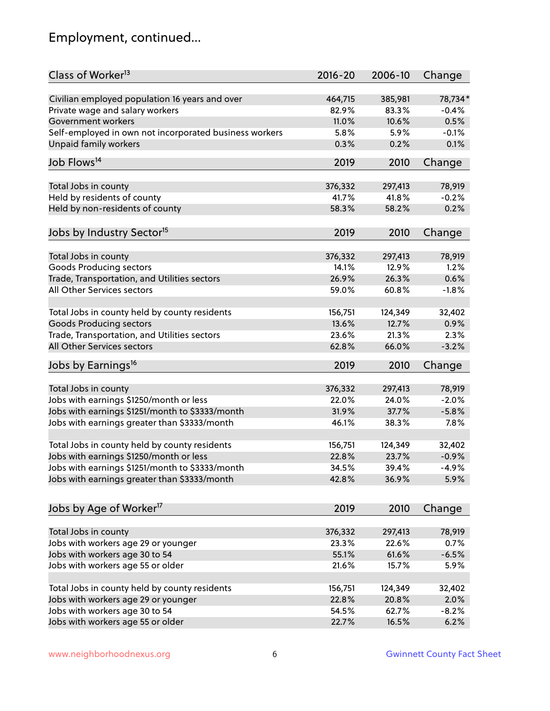# Employment, continued...

| Class of Worker <sup>13</sup>                          | $2016 - 20$ | 2006-10 | Change   |
|--------------------------------------------------------|-------------|---------|----------|
| Civilian employed population 16 years and over         | 464,715     | 385,981 | 78,734*  |
| Private wage and salary workers                        | 82.9%       | 83.3%   | $-0.4%$  |
| Government workers                                     | 11.0%       | 10.6%   | 0.5%     |
| Self-employed in own not incorporated business workers | 5.8%        | 5.9%    | $-0.1%$  |
| <b>Unpaid family workers</b>                           | 0.3%        | 0.2%    | 0.1%     |
| Job Flows <sup>14</sup>                                | 2019        | 2010    | Change   |
|                                                        |             |         |          |
| Total Jobs in county                                   | 376,332     | 297,413 | 78,919   |
| Held by residents of county                            | 41.7%       | 41.8%   | $-0.2%$  |
| Held by non-residents of county                        | 58.3%       | 58.2%   | 0.2%     |
| Jobs by Industry Sector <sup>15</sup>                  | 2019        | 2010    | Change   |
| Total Jobs in county                                   | 376,332     | 297,413 | 78,919   |
| <b>Goods Producing sectors</b>                         | 14.1%       | 12.9%   | 1.2%     |
| Trade, Transportation, and Utilities sectors           | 26.9%       | 26.3%   | 0.6%     |
| All Other Services sectors                             | 59.0%       | 60.8%   | $-1.8%$  |
|                                                        |             |         |          |
| Total Jobs in county held by county residents          | 156,751     | 124,349 | 32,402   |
| <b>Goods Producing sectors</b>                         | 13.6%       | 12.7%   | 0.9%     |
| Trade, Transportation, and Utilities sectors           | 23.6%       | 21.3%   | 2.3%     |
| All Other Services sectors                             | 62.8%       | 66.0%   | $-3.2%$  |
| Jobs by Earnings <sup>16</sup>                         | 2019        | 2010    | Change   |
| Total Jobs in county                                   | 376,332     | 297,413 | 78,919   |
| Jobs with earnings \$1250/month or less                | 22.0%       | 24.0%   | $-2.0%$  |
| Jobs with earnings \$1251/month to \$3333/month        | 31.9%       | 37.7%   | $-5.8%$  |
|                                                        |             |         |          |
| Jobs with earnings greater than \$3333/month           | 46.1%       | 38.3%   | 7.8%     |
| Total Jobs in county held by county residents          | 156,751     | 124,349 | 32,402   |
| Jobs with earnings \$1250/month or less                | 22.8%       | 23.7%   | $-0.9%$  |
| Jobs with earnings \$1251/month to \$3333/month        | 34.5%       | 39.4%   | $-4.9\%$ |
| Jobs with earnings greater than \$3333/month           | 42.8%       | 36.9%   | 5.9%     |
| Jobs by Age of Worker <sup>17</sup>                    | 2019        | 2010    | Change   |
|                                                        |             |         |          |
| Total Jobs in county                                   | 376,332     | 297,413 | 78,919   |
| Jobs with workers age 29 or younger                    | 23.3%       | 22.6%   | 0.7%     |
| Jobs with workers age 30 to 54                         | 55.1%       | 61.6%   | $-6.5%$  |
| Jobs with workers age 55 or older                      | 21.6%       | 15.7%   | 5.9%     |
| Total Jobs in county held by county residents          | 156,751     | 124,349 | 32,402   |
| Jobs with workers age 29 or younger                    | 22.8%       | 20.8%   | 2.0%     |
| Jobs with workers age 30 to 54                         | 54.5%       | 62.7%   | $-8.2%$  |
| Jobs with workers age 55 or older                      | 22.7%       | 16.5%   | 6.2%     |
|                                                        |             |         |          |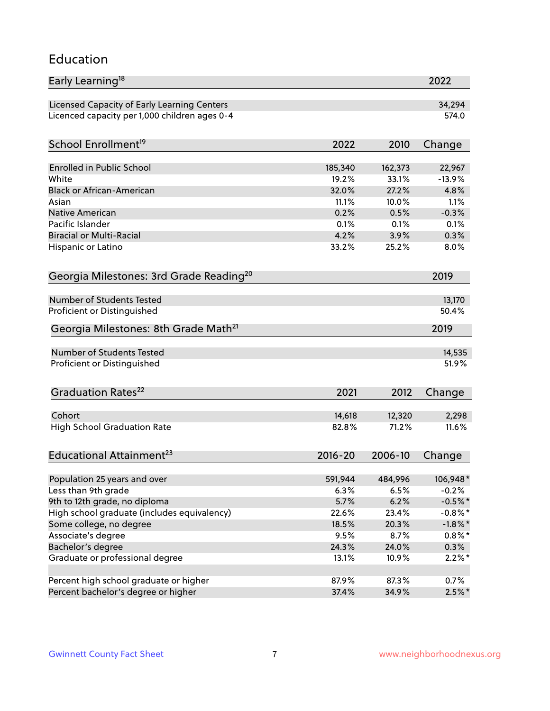#### Education

| Early Learning <sup>18</sup>                        |                |                | 2022         |
|-----------------------------------------------------|----------------|----------------|--------------|
| Licensed Capacity of Early Learning Centers         |                |                | 34,294       |
| Licenced capacity per 1,000 children ages 0-4       |                |                | 574.0        |
| School Enrollment <sup>19</sup>                     | 2022           | 2010           | Change       |
|                                                     |                |                |              |
| <b>Enrolled in Public School</b>                    | 185,340        | 162,373        | 22,967       |
| White                                               | 19.2%          | 33.1%          | $-13.9%$     |
| <b>Black or African-American</b><br>Asian           | 32.0%<br>11.1% | 27.2%<br>10.0% | 4.8%<br>1.1% |
|                                                     |                | 0.5%           | $-0.3%$      |
| Native American<br>Pacific Islander                 | 0.2%<br>0.1%   | 0.1%           | 0.1%         |
| <b>Biracial or Multi-Racial</b>                     | 4.2%           | 3.9%           | 0.3%         |
|                                                     | 33.2%          | 25.2%          | 8.0%         |
| Hispanic or Latino                                  |                |                |              |
| Georgia Milestones: 3rd Grade Reading <sup>20</sup> |                |                | 2019         |
|                                                     |                |                |              |
| <b>Number of Students Tested</b>                    |                |                | 13,170       |
| Proficient or Distinguished                         |                |                | 50.4%        |
| Georgia Milestones: 8th Grade Math <sup>21</sup>    |                |                | 2019         |
| Number of Students Tested                           |                |                | 14,535       |
| Proficient or Distinguished                         |                |                | 51.9%        |
|                                                     |                |                |              |
| Graduation Rates <sup>22</sup>                      | 2021           | 2012           | Change       |
|                                                     |                |                |              |
| Cohort                                              | 14,618         | 12,320         | 2,298        |
| <b>High School Graduation Rate</b>                  | 82.8%          | 71.2%          | 11.6%        |
| Educational Attainment <sup>23</sup>                | $2016 - 20$    | 2006-10        | Change       |
|                                                     |                |                |              |
| Population 25 years and over                        | 591,944        | 484,996        | 106,948*     |
| Less than 9th grade                                 | 6.3%           | 6.5%           | $-0.2%$      |
| 9th to 12th grade, no diploma                       | 5.7%           | 6.2%           | $-0.5%$ *    |
| High school graduate (includes equivalency)         | 22.6%          | 23.4%          | $-0.8\%$ *   |
| Some college, no degree                             | 18.5%          | 20.3%          | $-1.8\%$ *   |
| Associate's degree                                  | 9.5%           | 8.7%           | $0.8\%$ *    |
| Bachelor's degree                                   | 24.3%          | 24.0%          | 0.3%         |
| Graduate or professional degree                     | 13.1%          | 10.9%          | $2.2\%$ *    |
| Percent high school graduate or higher              | 87.9%          | 87.3%          | 0.7%         |
| Percent bachelor's degree or higher                 | 37.4%          | 34.9%          | $2.5\%$ *    |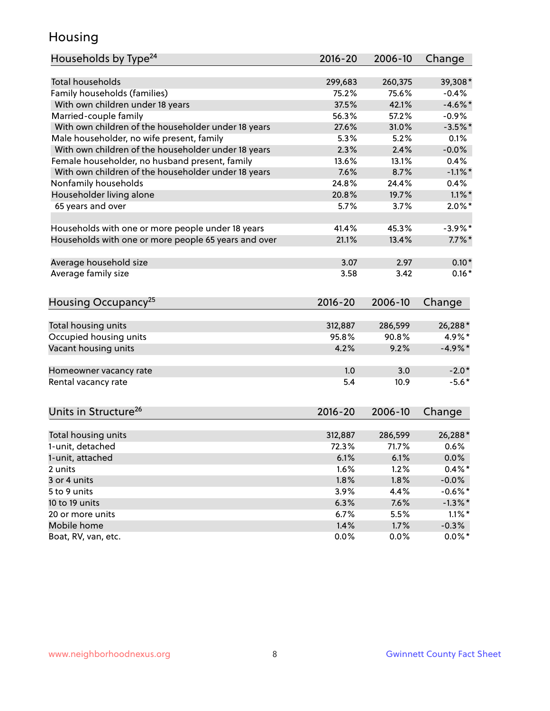### Housing

| Households by Type <sup>24</sup>                     | 2016-20     | 2006-10 | Change     |
|------------------------------------------------------|-------------|---------|------------|
| <b>Total households</b>                              | 299,683     | 260,375 | 39,308*    |
| Family households (families)                         | 75.2%       | 75.6%   | $-0.4%$    |
| With own children under 18 years                     | 37.5%       | 42.1%   | $-4.6\%$ * |
| Married-couple family                                | 56.3%       | 57.2%   | $-0.9%$    |
| With own children of the householder under 18 years  | 27.6%       | 31.0%   | $-3.5%$ *  |
|                                                      | 5.3%        | 5.2%    | 0.1%       |
| Male householder, no wife present, family            |             | 2.4%    |            |
| With own children of the householder under 18 years  | 2.3%        |         | $-0.0%$    |
| Female householder, no husband present, family       | 13.6%       | 13.1%   | 0.4%       |
| With own children of the householder under 18 years  | 7.6%        | 8.7%    | $-1.1\%$ * |
| Nonfamily households                                 | 24.8%       | 24.4%   | $0.4\%$    |
| Householder living alone                             | 20.8%       | 19.7%   | $1.1\%$ *  |
| 65 years and over                                    | 5.7%        | 3.7%    | $2.0\%$ *  |
|                                                      |             |         |            |
| Households with one or more people under 18 years    | 41.4%       | 45.3%   | $-3.9\%$ * |
| Households with one or more people 65 years and over | 21.1%       | 13.4%   | $7.7\%$ *  |
| Average household size                               | 3.07        | 2.97    | $0.10*$    |
| Average family size                                  | 3.58        | 3.42    | $0.16*$    |
|                                                      |             |         |            |
| Housing Occupancy <sup>25</sup>                      | $2016 - 20$ | 2006-10 | Change     |
|                                                      |             |         |            |
| Total housing units                                  | 312,887     | 286,599 | 26,288*    |
| Occupied housing units                               | 95.8%       | 90.8%   | 4.9%*      |
| Vacant housing units                                 | 4.2%        | 9.2%    | $-4.9%$ *  |
| Homeowner vacancy rate                               | 1.0         | 3.0     | $-2.0*$    |
| Rental vacancy rate                                  | 5.4         | 10.9    | $-5.6*$    |
|                                                      |             |         |            |
| Units in Structure <sup>26</sup>                     | 2016-20     | 2006-10 | Change     |
|                                                      |             |         |            |
| Total housing units                                  | 312,887     | 286,599 | 26,288*    |
| 1-unit, detached                                     | 72.3%       | 71.7%   | 0.6%       |
| 1-unit, attached                                     | 6.1%        | 6.1%    | $0.0\%$    |
| 2 units                                              | 1.6%        | 1.2%    | $0.4\%$ *  |
| 3 or 4 units                                         | 1.8%        | 1.8%    | $-0.0\%$   |
| 5 to 9 units                                         | 3.9%        | 4.4%    | $-0.6%$ *  |
| 10 to 19 units                                       | 6.3%        | 7.6%    | $-1.3\%$ * |
| 20 or more units                                     | 6.7%        | 5.5%    | $1.1\%$ *  |
| Mobile home                                          | 1.4%        | 1.7%    | $-0.3%$    |
| Boat, RV, van, etc.                                  | 0.0%        | 0.0%    | $0.0\%$ *  |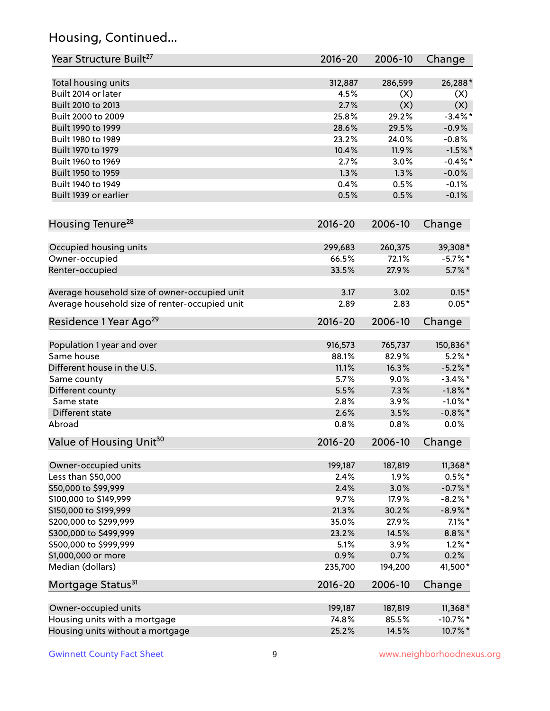# Housing, Continued...

| Year Structure Built <sup>27</sup>             | 2016-20     | 2006-10 | Change                |
|------------------------------------------------|-------------|---------|-----------------------|
| Total housing units                            | 312,887     | 286,599 | 26,288*               |
| Built 2014 or later                            | 4.5%        | (X)     | (X)                   |
| Built 2010 to 2013                             | 2.7%        | (X)     | (X)                   |
| Built 2000 to 2009                             | 25.8%       | 29.2%   | $-3.4\%$ *            |
| Built 1990 to 1999                             | 28.6%       | 29.5%   | $-0.9%$               |
| Built 1980 to 1989                             | 23.2%       | 24.0%   | $-0.8%$               |
| Built 1970 to 1979                             | 10.4%       | 11.9%   | $-1.5%$ *             |
| Built 1960 to 1969                             | 2.7%        | 3.0%    | $-0.4\%$ *            |
| Built 1950 to 1959                             | 1.3%        | 1.3%    | $-0.0%$               |
| Built 1940 to 1949                             | 0.4%        | 0.5%    | $-0.1%$               |
| Built 1939 or earlier                          | 0.5%        | 0.5%    | $-0.1%$               |
| Housing Tenure <sup>28</sup>                   | $2016 - 20$ | 2006-10 | Change                |
|                                                | 299,683     | 260,375 |                       |
| Occupied housing units<br>Owner-occupied       | 66.5%       | 72.1%   | 39,308*<br>$-5.7\%$ * |
| Renter-occupied                                | 33.5%       | 27.9%   | $5.7\%$ *             |
|                                                |             |         |                       |
| Average household size of owner-occupied unit  | 3.17        | 3.02    | $0.15*$               |
| Average household size of renter-occupied unit | 2.89        | 2.83    | $0.05*$               |
| Residence 1 Year Ago <sup>29</sup>             | $2016 - 20$ | 2006-10 | Change                |
|                                                |             |         |                       |
| Population 1 year and over                     | 916,573     | 765,737 | 150,836*              |
| Same house                                     | 88.1%       | 82.9%   | $5.2\%$ *             |
| Different house in the U.S.                    | 11.1%       | 16.3%   | $-5.2\%$ *            |
| Same county                                    | 5.7%        | 9.0%    | $-3.4\%$ *            |
| Different county                               | 5.5%        | 7.3%    | $-1.8\%$ *            |
| Same state                                     | 2.8%        | 3.9%    | $-1.0\%$ *            |
| Different state                                | 2.6%        | 3.5%    | $-0.8\%$ *            |
| Abroad                                         | 0.8%        | 0.8%    | 0.0%                  |
| Value of Housing Unit <sup>30</sup>            | $2016 - 20$ | 2006-10 | Change                |
| Owner-occupied units                           | 199,187     | 187,819 | $11,368*$             |
| Less than \$50,000                             | 2.4%        | 1.9%    | $0.5%$ *              |
| \$50,000 to \$99,999                           | 2.4%        | 3.0%    | $-0.7\%$ *            |
| \$100,000 to \$149,999                         | 9.7%        | 17.9%   | $-8.2\%$ *            |
| \$150,000 to \$199,999                         | 21.3%       | 30.2%   | $-8.9\%$ *            |
| \$200,000 to \$299,999                         | 35.0%       | 27.9%   | $7.1\%$ *             |
| \$300,000 to \$499,999                         | 23.2%       | 14.5%   | $8.8\%$ *             |
| \$500,000 to \$999,999                         | 5.1%        | 3.9%    | $1.2\%$ *             |
| \$1,000,000 or more                            | 0.9%        | 0.7%    | 0.2%                  |
| Median (dollars)                               | 235,700     | 194,200 | 41,500*               |
| Mortgage Status <sup>31</sup>                  | $2016 - 20$ | 2006-10 | Change                |
|                                                |             |         |                       |
| Owner-occupied units                           | 199,187     | 187,819 | 11,368*               |
| Housing units with a mortgage                  | 74.8%       | 85.5%   | $-10.7%$ *            |
| Housing units without a mortgage               | 25.2%       | 14.5%   | 10.7%*                |
|                                                |             |         |                       |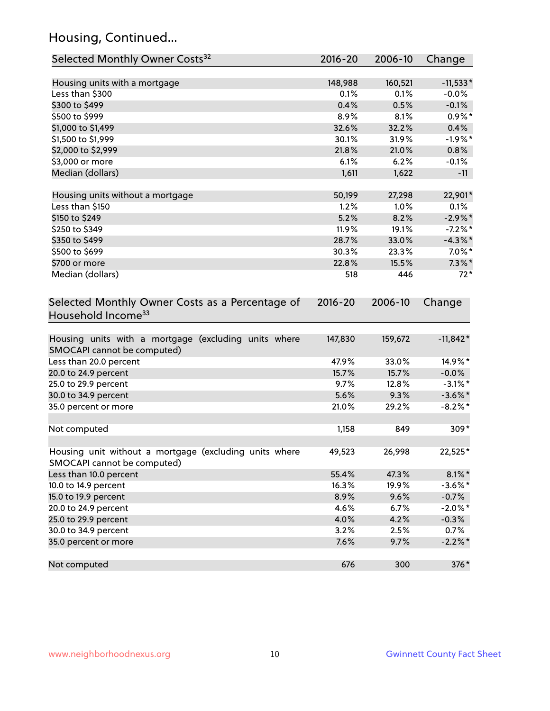# Housing, Continued...

| Selected Monthly Owner Costs <sup>32</sup>                                            | 2016-20     | 2006-10 | Change     |
|---------------------------------------------------------------------------------------|-------------|---------|------------|
| Housing units with a mortgage                                                         | 148,988     | 160,521 | $-11,533*$ |
| Less than \$300                                                                       | 0.1%        | 0.1%    | $-0.0%$    |
| \$300 to \$499                                                                        | 0.4%        | 0.5%    | $-0.1%$    |
| \$500 to \$999                                                                        | 8.9%        | 8.1%    | $0.9%$ *   |
| \$1,000 to \$1,499                                                                    | 32.6%       | 32.2%   | 0.4%       |
| \$1,500 to \$1,999                                                                    | 30.1%       | 31.9%   | $-1.9%$ *  |
| \$2,000 to \$2,999                                                                    | 21.8%       | 21.0%   | 0.8%       |
| \$3,000 or more                                                                       | 6.1%        | 6.2%    | $-0.1%$    |
| Median (dollars)                                                                      | 1,611       | 1,622   | $-11$      |
| Housing units without a mortgage                                                      | 50,199      | 27,298  | 22,901*    |
| Less than \$150                                                                       | 1.2%        | 1.0%    | 0.1%       |
| \$150 to \$249                                                                        | 5.2%        | 8.2%    | $-2.9\%$ * |
| \$250 to \$349                                                                        | 11.9%       | 19.1%   | $-7.2%$ *  |
| \$350 to \$499                                                                        | 28.7%       | 33.0%   | $-4.3\%$ * |
| \$500 to \$699                                                                        | 30.3%       | 23.3%   | $7.0\%$ *  |
| \$700 or more                                                                         | 22.8%       | 15.5%   | $7.3\%$ *  |
| Median (dollars)                                                                      | 518         | 446     | $72*$      |
| Selected Monthly Owner Costs as a Percentage of<br>Household Income <sup>33</sup>     | $2016 - 20$ | 2006-10 | Change     |
| Housing units with a mortgage (excluding units where<br>SMOCAPI cannot be computed)   | 147,830     | 159,672 | $-11,842*$ |
| Less than 20.0 percent                                                                | 47.9%       | 33.0%   | 14.9%*     |
| 20.0 to 24.9 percent                                                                  | 15.7%       | 15.7%   | $-0.0\%$   |
| 25.0 to 29.9 percent                                                                  | 9.7%        | 12.8%   | $-3.1\%$ * |
| 30.0 to 34.9 percent                                                                  | 5.6%        | 9.3%    | $-3.6\%$ * |
| 35.0 percent or more                                                                  | 21.0%       | 29.2%   | $-8.2\%$ * |
| Not computed                                                                          | 1,158       | 849     | 309*       |
| Housing unit without a mortgage (excluding units where<br>SMOCAPI cannot be computed) | 49,523      | 26,998  | 22,525*    |
| Less than 10.0 percent                                                                | 55.4%       | 47.3%   | $8.1\%$ *  |
| 10.0 to 14.9 percent                                                                  | 16.3%       | 19.9%   | $-3.6\%$ * |
| 15.0 to 19.9 percent                                                                  | 8.9%        | 9.6%    | $-0.7%$    |
| 20.0 to 24.9 percent                                                                  | 4.6%        | 6.7%    | $-2.0\%$ * |
| 25.0 to 29.9 percent                                                                  | 4.0%        | 4.2%    | $-0.3%$    |
| 30.0 to 34.9 percent                                                                  | 3.2%        | 2.5%    | 0.7%       |
| 35.0 percent or more                                                                  | 7.6%        | 9.7%    | $-2.2\%$ * |
| Not computed                                                                          | 676         | 300     | 376*       |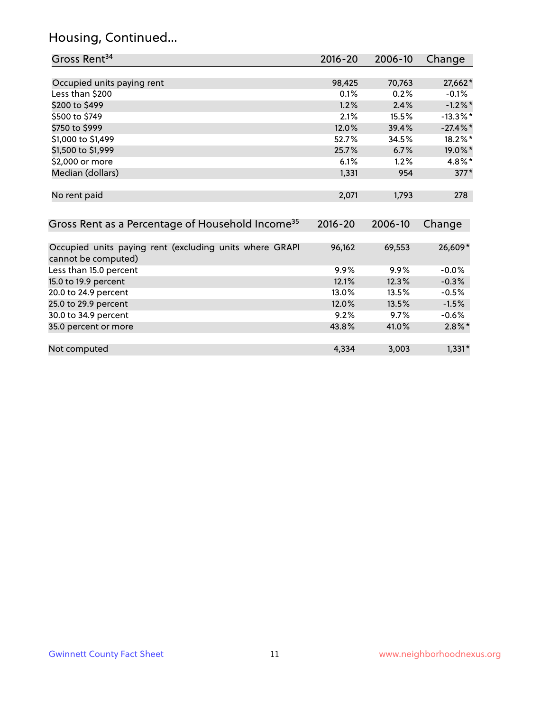# Housing, Continued...

| Gross Rent <sup>34</sup>                                                       | 2016-20     | 2006-10 | Change      |
|--------------------------------------------------------------------------------|-------------|---------|-------------|
|                                                                                |             |         |             |
| Occupied units paying rent                                                     | 98,425      | 70,763  | 27,662*     |
| Less than \$200                                                                | 0.1%        | 0.2%    | $-0.1%$     |
| \$200 to \$499                                                                 | 1.2%        | 2.4%    | $-1.2\%$ *  |
| \$500 to \$749                                                                 | 2.1%        | 15.5%   | $-13.3\%$ * |
| \$750 to \$999                                                                 | 12.0%       | 39.4%   | $-27.4\%$ * |
| \$1,000 to \$1,499                                                             | 52.7%       | 34.5%   | 18.2%*      |
| \$1,500 to \$1,999                                                             | 25.7%       | 6.7%    | 19.0%*      |
| \$2,000 or more                                                                | 6.1%        | 1.2%    | 4.8%*       |
| Median (dollars)                                                               | 1,331       | 954     | $377*$      |
| No rent paid                                                                   | 2,071       | 1,793   | 278         |
| Gross Rent as a Percentage of Household Income <sup>35</sup>                   | $2016 - 20$ | 2006-10 | Change      |
| Occupied units paying rent (excluding units where GRAPI<br>cannot be computed) | 96,162      | 69,553  | 26,609*     |
| Less than 15.0 percent                                                         | 9.9%        | 9.9%    | $-0.0%$     |
| 15.0 to 19.9 percent                                                           | 12.1%       | 12.3%   | $-0.3%$     |
| 20.0 to 24.9 percent                                                           | 13.0%       | 13.5%   | $-0.5%$     |
| 25.0 to 29.9 percent                                                           | 12.0%       | 13.5%   | $-1.5%$     |
| 30.0 to 34.9 percent                                                           | 9.2%        | 9.7%    | $-0.6%$     |
| 35.0 percent or more                                                           | 43.8%       | 41.0%   | $2.8\%$ *   |
| Not computed                                                                   | 4,334       | 3,003   | $1,331*$    |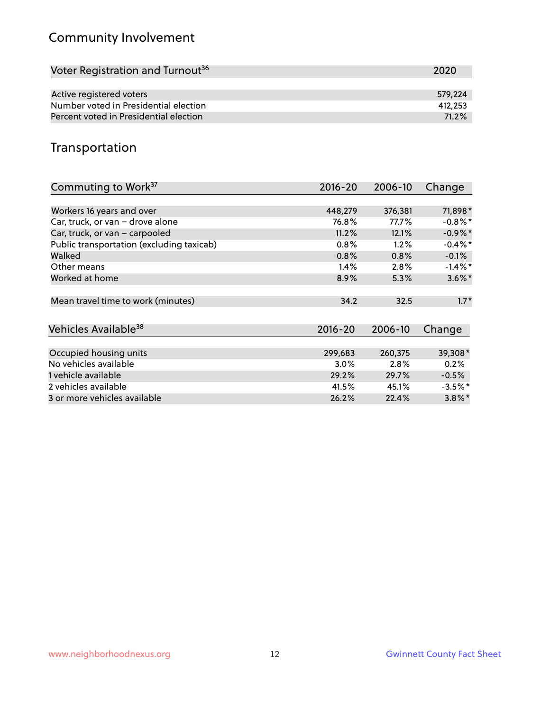# Community Involvement

| Voter Registration and Turnout <sup>36</sup> | 2020    |
|----------------------------------------------|---------|
|                                              |         |
| Active registered voters                     | 579.224 |
| Number voted in Presidential election        | 412,253 |
| Percent voted in Presidential election       | 71.2%   |

## Transportation

| Commuting to Work <sup>37</sup>           | 2016-20     | 2006-10 | Change     |
|-------------------------------------------|-------------|---------|------------|
|                                           |             |         |            |
| Workers 16 years and over                 | 448,279     | 376,381 | 71,898*    |
| Car, truck, or van - drove alone          | 76.8%       | 77.7%   | $-0.8%$ *  |
| Car, truck, or van - carpooled            | 11.2%       | 12.1%   | $-0.9%$ *  |
| Public transportation (excluding taxicab) | 0.8%        | 1.2%    | $-0.4\%$ * |
| Walked                                    | 0.8%        | 0.8%    | $-0.1%$    |
| Other means                               | 1.4%        | 2.8%    | $-1.4\%$ * |
| Worked at home                            | 8.9%        | 5.3%    | $3.6\%$ *  |
| Mean travel time to work (minutes)        | 34.2        | 32.5    | $1.7*$     |
| Vehicles Available <sup>38</sup>          | $2016 - 20$ | 2006-10 | Change     |
| Occupied housing units                    | 299,683     | 260,375 | 39,308*    |
| No vehicles available                     | 3.0%        | $2.8\%$ | 0.2%       |
| 1 vehicle available                       | 29.2%       | 29.7%   | $-0.5%$    |
| 2 vehicles available                      | 41.5%       | 45.1%   | $-3.5\%$ * |
| 3 or more vehicles available              | 26.2%       | 22.4%   | $3.8\%$ *  |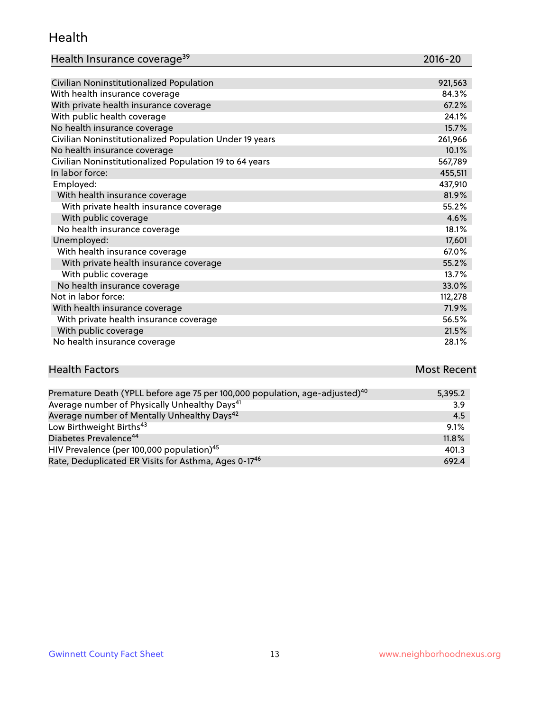#### Health

| Health Insurance coverage <sup>39</sup> | 2016-20 |
|-----------------------------------------|---------|
|-----------------------------------------|---------|

| Civilian Noninstitutionalized Population                | 921,563 |
|---------------------------------------------------------|---------|
| With health insurance coverage                          | 84.3%   |
| With private health insurance coverage                  | 67.2%   |
| With public health coverage                             | 24.1%   |
| No health insurance coverage                            | 15.7%   |
| Civilian Noninstitutionalized Population Under 19 years | 261,966 |
| No health insurance coverage                            | 10.1%   |
| Civilian Noninstitutionalized Population 19 to 64 years | 567,789 |
| In labor force:                                         | 455,511 |
| Employed:                                               | 437,910 |
| With health insurance coverage                          | 81.9%   |
| With private health insurance coverage                  | 55.2%   |
| With public coverage                                    | 4.6%    |
| No health insurance coverage                            | 18.1%   |
| Unemployed:                                             | 17,601  |
| With health insurance coverage                          | 67.0%   |
| With private health insurance coverage                  | 55.2%   |
| With public coverage                                    | 13.7%   |
| No health insurance coverage                            | 33.0%   |
| Not in labor force:                                     | 112,278 |
| With health insurance coverage                          | 71.9%   |
| With private health insurance coverage                  | 56.5%   |
| With public coverage                                    | 21.5%   |

| <b>Health Factors</b> | <b>Most Recent</b> |
|-----------------------|--------------------|
|                       |                    |

No health insurance coverage 28.1%

| Premature Death (YPLL before age 75 per 100,000 population, age-adjusted) <sup>40</sup> | 5,395.2 |
|-----------------------------------------------------------------------------------------|---------|
| Average number of Physically Unhealthy Days <sup>41</sup>                               | 3.9     |
| Average number of Mentally Unhealthy Days <sup>42</sup>                                 | 4.5     |
| Low Birthweight Births <sup>43</sup>                                                    | 9.1%    |
| Diabetes Prevalence <sup>44</sup>                                                       | 11.8%   |
| HIV Prevalence (per 100,000 population) <sup>45</sup>                                   | 401.3   |
| Rate, Deduplicated ER Visits for Asthma, Ages 0-17 <sup>46</sup>                        | 692.4   |